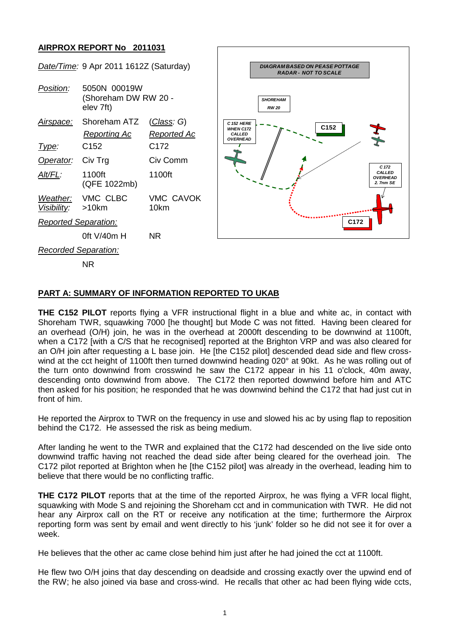## **AIRPROX REPORT No 2011031**



## **PART A: SUMMARY OF INFORMATION REPORTED TO UKAB**

**THE C152 PILOT** reports flying a VFR instructional flight in a blue and white ac, in contact with Shoreham TWR, squawking 7000 [he thought] but Mode C was not fitted. Having been cleared for an overhead (O/H) join, he was in the overhead at 2000ft descending to be downwind at 1100ft, when a C172 [with a C/S that he recognised] reported at the Brighton VRP and was also cleared for an O/H join after requesting a L base join. He [the C152 pilot] descended dead side and flew crosswind at the cct height of 1100ft then turned downwind heading 020° at 90kt. As he was rolling out of the turn onto downwind from crosswind he saw the C172 appear in his 11 o'clock, 40m away, descending onto downwind from above. The C172 then reported downwind before him and ATC then asked for his position; he responded that he was downwind behind the C172 that had just cut in front of him.

He reported the Airprox to TWR on the frequency in use and slowed his ac by using flap to reposition behind the C172. He assessed the risk as being medium.

After landing he went to the TWR and explained that the C172 had descended on the live side onto downwind traffic having not reached the dead side after being cleared for the overhead join. The C172 pilot reported at Brighton when he [the C152 pilot] was already in the overhead, leading him to believe that there would be no conflicting traffic.

**THE C172 PILOT** reports that at the time of the reported Airprox, he was flying a VFR local flight, squawking with Mode S and rejoining the Shoreham cct and in communication with TWR. He did not hear any Airprox call on the RT or receive any notification at the time; furthermore the Airprox reporting form was sent by email and went directly to his 'junk' folder so he did not see it for over a week.

He believes that the other ac came close behind him just after he had joined the cct at 1100ft.

He flew two O/H joins that day descending on deadside and crossing exactly over the upwind end of the RW; he also joined via base and cross-wind. He recalls that other ac had been flying wide ccts,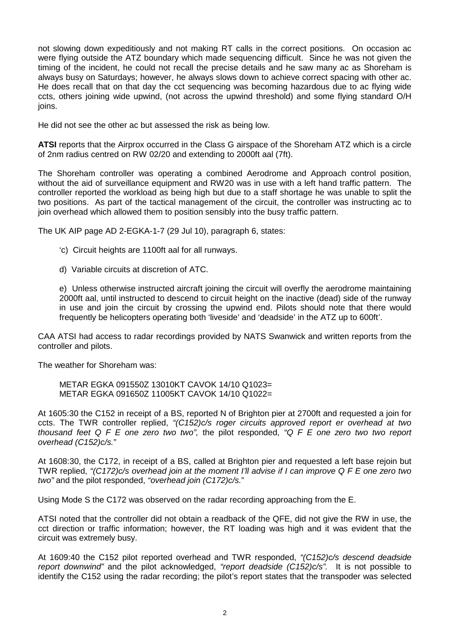not slowing down expeditiously and not making RT calls in the correct positions. On occasion ac were flying outside the ATZ boundary which made sequencing difficult. Since he was not given the timing of the incident, he could not recall the precise details and he saw many ac as Shoreham is always busy on Saturdays; however, he always slows down to achieve correct spacing with other ac. He does recall that on that day the cct sequencing was becoming hazardous due to ac flying wide ccts, others joining wide upwind, (not across the upwind threshold) and some flying standard O/H ioins.

He did not see the other ac but assessed the risk as being low.

**ATSI** reports that the Airprox occurred in the Class G airspace of the Shoreham ATZ which is a circle of 2nm radius centred on RW 02/20 and extending to 2000ft aal (7ft).

The Shoreham controller was operating a combined Aerodrome and Approach control position, without the aid of surveillance equipment and RW20 was in use with a left hand traffic pattern. The controller reported the workload as being high but due to a staff shortage he was unable to split the two positions. As part of the tactical management of the circuit, the controller was instructing ac to join overhead which allowed them to position sensibly into the busy traffic pattern.

The UK AIP page AD 2-EGKA-1-7 (29 Jul 10), paragraph 6, states:

- 'c) Circuit heights are 1100ft aal for all runways.
- d) Variable circuits at discretion of ATC.

e) Unless otherwise instructed aircraft joining the circuit will overfly the aerodrome maintaining 2000ft aal, until instructed to descend to circuit height on the inactive (dead) side of the runway in use and join the circuit by crossing the upwind end. Pilots should note that there would frequently be helicopters operating both 'liveside' and 'deadside' in the ATZ up to 600ft'.

CAA ATSI had access to radar recordings provided by NATS Swanwick and written reports from the controller and pilots.

The weather for Shoreham was:

METAR EGKA 091550Z 13010KT CAVOK 14/10 Q1023= METAR EGKA 0916507 11005KT CAVOK 14/10 Q1022=

At 1605:30 the C152 in receipt of a BS, reported N of Brighton pier at 2700ft and requested a join for ccts. The TWR controller replied, *"(C152)c/s roger circuits approved report er overhead at two thousand feet Q F E one zero two two",* the pilot responded, *"Q F E one zero two two report overhead (C152)c/s.*"

At 1608:30, the C172, in receipt of a BS, called at Brighton pier and requested a left base rejoin but TWR replied, *"(C172)c/s overhead join at the moment I'll advise if I can improve Q F E one zero two two"* and the pilot responded, *"overhead join (C172)c/s.*"

Using Mode S the C172 was observed on the radar recording approaching from the E.

ATSI noted that the controller did not obtain a readback of the QFE, did not give the RW in use, the cct direction or traffic information; however, the RT loading was high and it was evident that the circuit was extremely busy.

At 1609:40 the C152 pilot reported overhead and TWR responded, *"(C152)c/s descend deadside report downwind"* and the pilot acknowledged, *"report deadside (C152)c/s".* It is not possible to identify the C152 using the radar recording; the pilot's report states that the transpoder was selected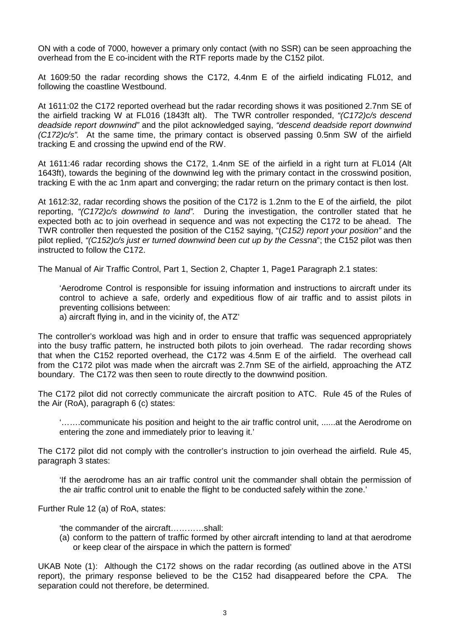ON with a code of 7000, however a primary only contact (with no SSR) can be seen approaching the overhead from the E co-incident with the RTF reports made by the C152 pilot.

At 1609:50 the radar recording shows the C172, 4.4nm E of the airfield indicating FL012, and following the coastline Westbound.

At 1611:02 the C172 reported overhead but the radar recording shows it was positioned 2.7nm SE of the airfield tracking W at FL016 (1843ft alt). The TWR controller responded, *"(C172)c/s descend deadside report downwind"* and the pilot acknowledged saying, *"descend deadside report downwind (C172)c/s".* At the same time, the primary contact is observed passing 0.5nm SW of the airfield tracking E and crossing the upwind end of the RW.

At 1611:46 radar recording shows the C172, 1.4nm SE of the airfield in a right turn at FL014 (Alt 1643ft), towards the begining of the downwind leg with the primary contact in the crosswind position, tracking E with the ac 1nm apart and converging; the radar return on the primary contact is then lost.

At 1612:32, radar recording shows the position of the C172 is 1.2nm to the E of the airfield, the pilot reporting, *"(C172)c/s downwind to land".* During the investigation, the controller stated that he expected both ac to join overhead in sequence and was not expecting the C172 to be ahead. The TWR controller then requested the position of the C152 saying, "(*C152) report your position"* and the pilot replied, *"(C152)c/s just er turned downwind been cut up by the Cessna*"; the C152 pilot was then instructed to follow the C172.

The Manual of Air Traffic Control, Part 1, Section 2, Chapter 1, Page1 Paragraph 2.1 states:

'Aerodrome Control is responsible for issuing information and instructions to aircraft under its control to achieve a safe, orderly and expeditious flow of air traffic and to assist pilots in preventing collisions between:

a) aircraft flying in, and in the vicinity of, the ATZ'

The controller's workload was high and in order to ensure that traffic was sequenced appropriately into the busy traffic pattern, he instructed both pilots to join overhead. The radar recording shows that when the C152 reported overhead, the C172 was 4.5nm E of the airfield. The overhead call from the C172 pilot was made when the aircraft was 2.7nm SE of the airfield, approaching the ATZ boundary. The C172 was then seen to route directly to the downwind position.

The C172 pilot did not correctly communicate the aircraft position to ATC. Rule 45 of the Rules of the Air (RoA), paragraph 6 (c) states:

'…….communicate his position and height to the air traffic control unit, ......at the Aerodrome on entering the zone and immediately prior to leaving it.'

The C172 pilot did not comply with the controller's instruction to join overhead the airfield. Rule 45, paragraph 3 states:

'If the aerodrome has an air traffic control unit the commander shall obtain the permission of the air traffic control unit to enable the flight to be conducted safely within the zone.'

Further Rule 12 (a) of RoA, states:

'the commander of the aircraft…………shall:

(a) conform to the pattern of traffic formed by other aircraft intending to land at that aerodrome or keep clear of the airspace in which the pattern is formed'

UKAB Note (1): Although the C172 shows on the radar recording (as outlined above in the ATSI report), the primary response believed to be the C152 had disappeared before the CPA. The separation could not therefore, be determined.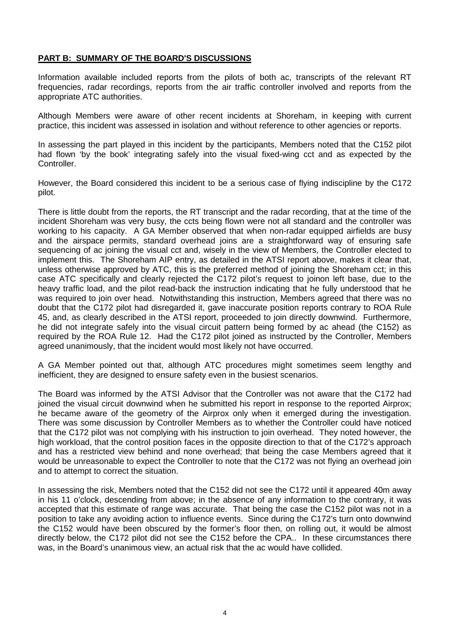## **PART B: SUMMARY OF THE BOARD'S DISCUSSIONS**

Information available included reports from the pilots of both ac, transcripts of the relevant RT frequencies, radar recordings, reports from the air traffic controller involved and reports from the appropriate ATC authorities.

Although Members were aware of other recent incidents at Shoreham, in keeping with current practice, this incident was assessed in isolation and without reference to other agencies or reports.

In assessing the part played in this incident by the participants, Members noted that the C152 pilot had flown 'by the book' integrating safely into the visual fixed-wing cct and as expected by the Controller.

However, the Board considered this incident to be a serious case of flying indiscipline by the C172 pilot.

There is little doubt from the reports, the RT transcript and the radar recording, that at the time of the incident Shoreham was very busy, the ccts being flown were not all standard and the controller was working to his capacity. A GA Member observed that when non-radar equipped airfields are busy and the airspace permits, standard overhead joins are a straightforward way of ensuring safe sequencing of ac joining the visual cct and, wisely in the view of Members, the Controller elected to implement this. The Shoreham AIP entry, as detailed in the ATSI report above, makes it clear that, unless otherwise approved by ATC, this is the preferred method of joining the Shoreham cct; in this case ATC specifically and clearly rejected the C172 pilot's request to joinon left base, due to the heavy traffic load, and the pilot read-back the instruction indicating that he fully understood that he was required to join over head. Notwithstanding this instruction, Members agreed that there was no doubt that the C172 pilot had disregarded it, gave inaccurate position reports contrary to ROA Rule 45, and, as clearly described in the ATSI report, proceeded to join directly downwind. Furthermore, he did not integrate safely into the visual circuit pattern being formed by ac ahead (the C152) as required by the ROA Rule 12. Had the C172 pilot joined as instructed by the Controller, Members agreed unanimously, that the incident would most likely not have occurred.

A GA Member pointed out that, although ATC procedures might sometimes seem lengthy and inefficient, they are designed to ensure safety even in the busiest scenarios.

The Board was informed by the ATSI Advisor that the Controller was not aware that the C172 had joined the visual circuit downwind when he submitted his report in response to the reported Airprox; he became aware of the geometry of the Airprox only when it emerged during the investigation. There was some discussion by Controller Members as to whether the Controller could have noticed that the C172 pilot was not complying with his instruction to join overhead. They noted however, the high workload, that the control position faces in the opposite direction to that of the C172's approach and has a restricted view behind and none overhead; that being the case Members agreed that it would be unreasonable to expect the Controller to note that the C172 was not flying an overhead join and to attempt to correct the situation.

In assessing the risk, Members noted that the C152 did not see the C172 until it appeared 40m away in his 11 o'clock, descending from above; in the absence of any information to the contrary, it was accepted that this estimate of range was accurate. That being the case the C152 pilot was not in a position to take any avoiding action to influence events. Since during the C172's turn onto downwind the C152 would have been obscured by the former's floor then, on rolling out, it would be almost directly below, the C172 pilot did not see the C152 before the CPA.. In these circumstances there was, in the Board's unanimous view, an actual risk that the ac would have collided.